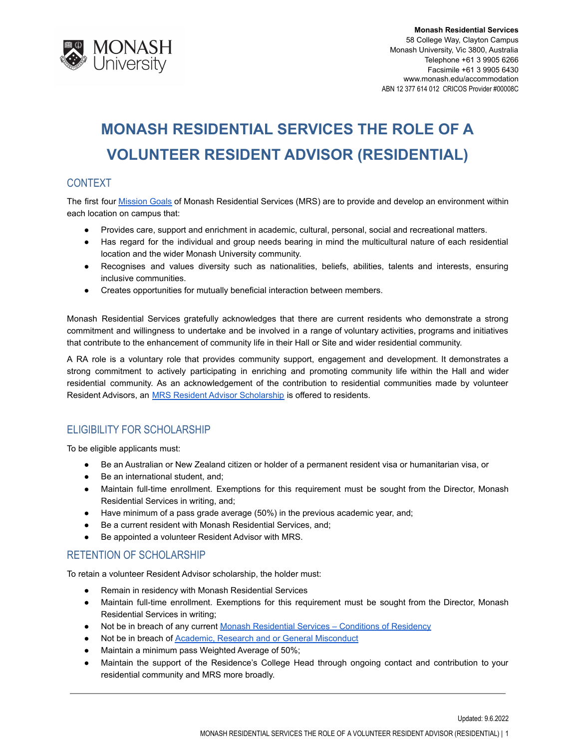

# **MONASH RESIDENTIAL SERVICES THE ROLE OF A VOLUNTEER RESIDENT ADVISOR (RESIDENTIAL)**

## CONTEXT

The first four **[Mission](http://www.monash.edu/accommodation/contact/about-us) Goals of Monash Residential Services (MRS)** are to provide and develop an environment within each location on campus that:

- Provides care, support and enrichment in academic, cultural, personal, social and recreational matters.
- Has regard for the individual and group needs bearing in mind the multicultural nature of each residential location and the wider Monash University community.
- Recognises and values diversity such as nationalities, beliefs, abilities, talents and interests, ensuring inclusive communities.
- Creates opportunities for mutually beneficial interaction between members.

Monash Residential Services gratefully acknowledges that there are current residents who demonstrate a strong commitment and willingness to undertake and be involved in a range of voluntary activities, programs and initiatives that contribute to the enhancement of community life in their Hall or Site and wider residential community.

A RA role is a voluntary role that provides community support, engagement and development. It demonstrates a strong commitment to actively participating in enriching and promoting community life within the Hall and wider residential community. As an acknowledgement of the contribution to residential communities made by volunteer Resident Advisors, an **[MRS Resident Advisor Scholarship](http://www.monash.edu.au/students/scholarships/mrs-residential-advisor.html)** is offered to residents.

## ELIGIBILITY FOR SCHOLARSHIP

To be eligible applicants must:

- Be an Australian or New Zealand citizen or holder of a permanent resident visa or humanitarian visa, or
- Be an international student, and;
- Maintain full-time enrollment. Exemptions for this requirement must be sought from the Director, Monash Residential Services in writing, and;
- Have minimum of a pass grade average (50%) in the previous academic year, and;
- Be a current resident with Monash Residential Services, and;
- Be appointed a volunteer Resident Advisor with MRS.

## RETENTION OF SCHOLARSHIP

To retain a volunteer Resident Advisor scholarship, the holder must:

- Remain in residency with Monash Residential Services
- Maintain full-time enrollment. Exemptions for this requirement must be sought from the Director, Monash Residential Services in writing;
- Not be in breach of any current Monash Residential [Services Conditions of Residency](https://www.monash.edu/accommodation/accommodation/regulations-and-policies/conditions-of-residency)
- Not be in breach of **[Academic, Research and or General](https://mga.monash.edu/get-help/advocacy/misconduct/) Misconduct**
- Maintain a minimum pass Weighted Average of 50%;
- Maintain the support of the Residence's College Head through ongoing contact and contribution to your residential community and MRS more broadly.

Updated: 9.6.2022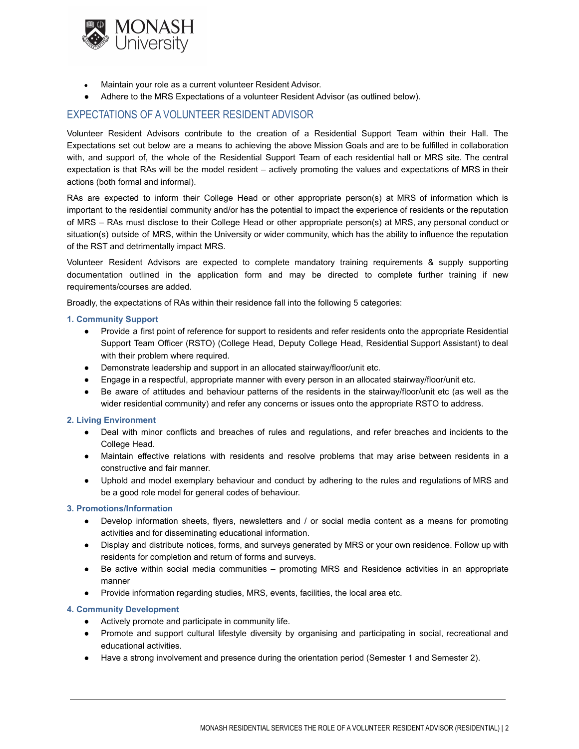

- Maintain your role as a current volunteer Resident Advisor.
- Adhere to the MRS Expectations of a volunteer Resident Advisor (as outlined below).

## EXPECTATIONS OF A VOLUNTEER RESIDENT ADVISOR

Volunteer Resident Advisors contribute to the creation of a Residential Support Team within their Hall. The Expectations set out below are a means to achieving the above Mission Goals and are to be fulfilled in collaboration with, and support of, the whole of the Residential Support Team of each residential hall or MRS site. The central expectation is that RAs will be the model resident – actively promoting the values and expectations of MRS in their actions (both formal and informal).

RAs are expected to inform their College Head or other appropriate person(s) at MRS of information which is important to the residential community and/or has the potential to impact the experience of residents or the reputation of MRS – RAs must disclose to their College Head or other appropriate person(s) at MRS, any personal conduct or situation(s) outside of MRS, within the University or wider community, which has the ability to influence the reputation of the RST and detrimentally impact MRS.

Volunteer Resident Advisors are expected to complete mandatory training requirements & supply supporting documentation outlined in the application form and may be directed to complete further training if new requirements/courses are added.

Broadly, the expectations of RAs within their residence fall into the following 5 categories:

#### **1. Community Support**

- Provide a first point of reference for support to residents and refer residents onto the appropriate Residential Support Team Officer (RSTO) (College Head, Deputy College Head, Residential Support Assistant) to deal with their problem where required.
- Demonstrate leadership and support in an allocated stairway/floor/unit etc.
- Engage in a respectful, appropriate manner with every person in an allocated stairway/floor/unit etc.
- Be aware of attitudes and behaviour patterns of the residents in the stairway/floor/unit etc (as well as the wider residential community) and refer any concerns or issues onto the appropriate RSTO to address.

#### **2. Living Environment**

- Deal with minor conflicts and breaches of rules and regulations, and refer breaches and incidents to the College Head.
- Maintain effective relations with residents and resolve problems that may arise between residents in a constructive and fair manner.
- Uphold and model exemplary behaviour and conduct by adhering to the rules and regulations of MRS and be a good role model for general codes of behaviour.

#### **3. Promotions/Information**

- Develop information sheets, flyers, newsletters and / or social media content as a means for promoting activities and for disseminating educational information.
- Display and distribute notices, forms, and surveys generated by MRS or your own residence. Follow up with residents for completion and return of forms and surveys.
- Be active within social media communities promoting MRS and Residence activities in an appropriate manner
- Provide information regarding studies, MRS, events, facilities, the local area etc.

#### **4. Community Development**

- Actively promote and participate in community life.
- Promote and support cultural lifestyle diversity by organising and participating in social, recreational and educational activities.
- Have a strong involvement and presence during the orientation period (Semester 1 and Semester 2).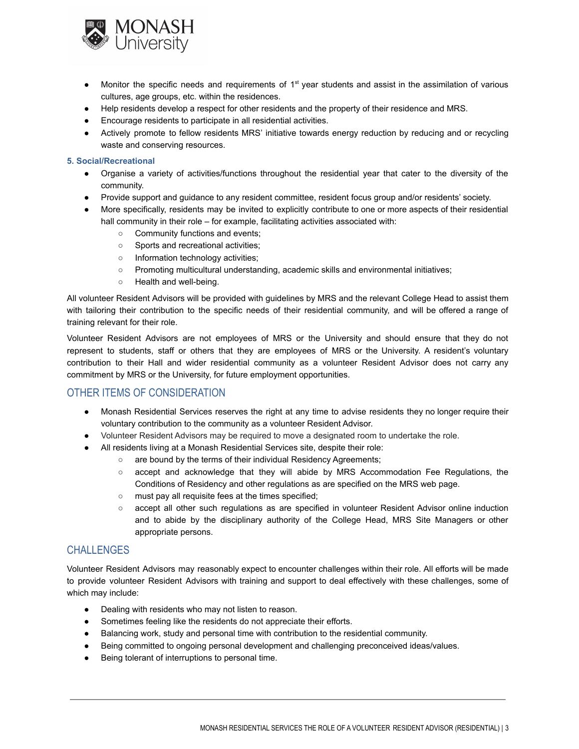

- Monitor the specific needs and requirements of 1<sup>st</sup> year students and assist in the assimilation of various cultures, age groups, etc. within the residences.
- Help residents develop a respect for other residents and the property of their residence and MRS.
- Encourage residents to participate in all residential activities.
- Actively promote to fellow residents MRS' initiative towards energy reduction by reducing and or recycling waste and conserving resources.

#### **5. Social/Recreational**

- Organise a variety of activities/functions throughout the residential year that cater to the diversity of the community.
- Provide support and guidance to any resident committee, resident focus group and/or residents' society.
- More specifically, residents may be invited to explicitly contribute to one or more aspects of their residential hall community in their role – for example, facilitating activities associated with:
	- Community functions and events;
	- Sports and recreational activities;
	- Information technology activities;
	- Promoting multicultural understanding, academic skills and environmental initiatives;
	- Health and well-being.

All volunteer Resident Advisors will be provided with guidelines by MRS and the relevant College Head to assist them with tailoring their contribution to the specific needs of their residential community, and will be offered a range of training relevant for their role.

Volunteer Resident Advisors are not employees of MRS or the University and should ensure that they do not represent to students, staff or others that they are employees of MRS or the University. A resident's voluntary contribution to their Hall and wider residential community as a volunteer Resident Advisor does not carry any commitment by MRS or the University, for future employment opportunities.

## OTHER ITEMS OF CONSIDERATION

- Monash Residential Services reserves the right at any time to advise residents they no longer require their voluntary contribution to the community as a volunteer Resident Advisor.
- Volunteer Resident Advisors may be required to move a designated room to undertake the role.
- All residents living at a Monash Residential Services site, despite their role:
	- are bound by the terms of their individual Residency Agreements;
		- accept and acknowledge that they will abide by MRS Accommodation Fee Regulations, the Conditions of Residency and other regulations as are specified on the MRS web page.
		- must pay all requisite fees at the times specified;
		- accept all other such regulations as are specified in volunteer Resident Advisor online induction and to abide by the disciplinary authority of the College Head, MRS Site Managers or other appropriate persons.

## CHALL FNGES

Volunteer Resident Advisors may reasonably expect to encounter challenges within their role. All efforts will be made to provide volunteer Resident Advisors with training and support to deal effectively with these challenges, some of which may include:

- Dealing with residents who may not listen to reason.
- Sometimes feeling like the residents do not appreciate their efforts.
- Balancing work, study and personal time with contribution to the residential community.
- Being committed to ongoing personal development and challenging preconceived ideas/values.
- Being tolerant of interruptions to personal time.